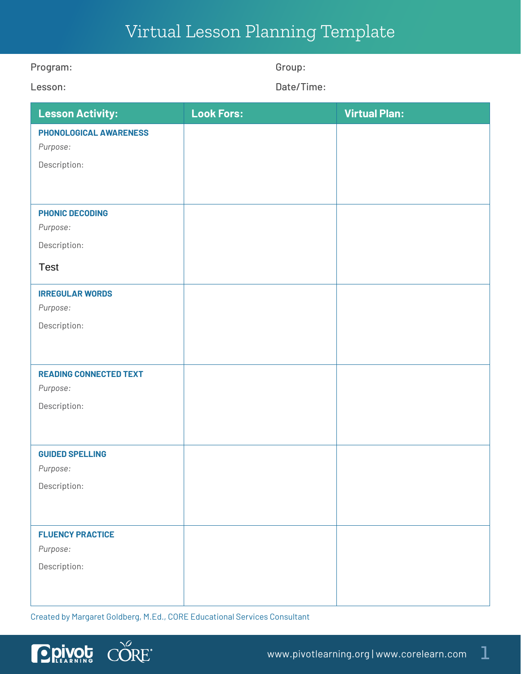## Virtual Lesson Planning Template

| Program:                      | Group:            |                      |
|-------------------------------|-------------------|----------------------|
| Lesson:                       | Date/Time:        |                      |
| <b>Lesson Activity:</b>       | <b>Look Fors:</b> | <b>Virtual Plan:</b> |
| PHONOLOGICAL AWARENESS        |                   |                      |
| Purpose:                      |                   |                      |
| Description:                  |                   |                      |
|                               |                   |                      |
| <b>PHONIC DECODING</b>        |                   |                      |
| Purpose:                      |                   |                      |
| Description:                  |                   |                      |
| <b>Test</b>                   |                   |                      |
| <b>IRREGULAR WORDS</b>        |                   |                      |
| Purpose:                      |                   |                      |
| Description:                  |                   |                      |
|                               |                   |                      |
| <b>READING CONNECTED TEXT</b> |                   |                      |
| Purpose:                      |                   |                      |
| Description:                  |                   |                      |
|                               |                   |                      |
| <b>GUIDED SPELLING</b>        |                   |                      |
| Purpose:                      |                   |                      |
| Description:                  |                   |                      |
|                               |                   |                      |
| <b>FLUENCY PRACTICE</b>       |                   |                      |
| Purpose:                      |                   |                      |
| Description:                  |                   |                      |
|                               |                   |                      |
|                               |                   |                      |

Created by Margaret Goldberg, M.Ed., CORE Educational Services Consultant

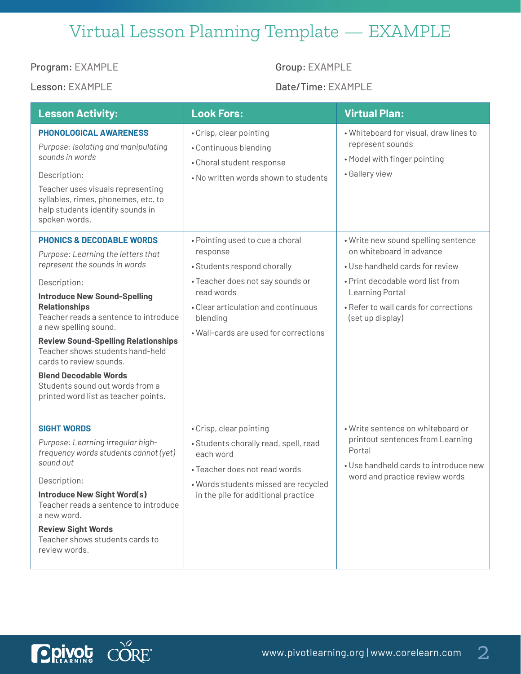## Virtual Lesson Planning Template — EXAMPLE

Program: EXAMPLE Group: EXAMPLE

**DRIVOL** CORE

Lesson: EXAMPLE Date/Time: EXAMPLE

| <b>Lesson Activity:</b>                                                                                                                                                                                                                                                                                                                                                                                                                                                              | <b>Look Fors:</b>                                                                                                                                                                                                        | <b>Virtual Plan:</b>                                                                                                                                                                                                   |
|--------------------------------------------------------------------------------------------------------------------------------------------------------------------------------------------------------------------------------------------------------------------------------------------------------------------------------------------------------------------------------------------------------------------------------------------------------------------------------------|--------------------------------------------------------------------------------------------------------------------------------------------------------------------------------------------------------------------------|------------------------------------------------------------------------------------------------------------------------------------------------------------------------------------------------------------------------|
| <b>PHONOLOGICAL AWARENESS</b><br>Purpose: Isolating and manipulating<br>sounds in words<br>Description:<br>Teacher uses visuals representing<br>syllables, rimes, phonemes, etc. to<br>help students identify sounds in<br>spoken words.                                                                                                                                                                                                                                             | • Crisp, clear pointing<br>• Continuous blending<br>• Choral student response<br>. No written words shown to students                                                                                                    | . Whiteboard for visual, draw lines to<br>represent sounds<br>• Model with finger pointing<br>• Gallery view                                                                                                           |
| <b>PHONICS &amp; DECODABLE WORDS</b><br>Purpose: Learning the letters that<br>represent the sounds in words<br>Description:<br><b>Introduce New Sound-Spelling</b><br><b>Relationships</b><br>Teacher reads a sentence to introduce<br>a new spelling sound.<br><b>Review Sound-Spelling Relationships</b><br>Teacher shows students hand-held<br>cards to review sounds.<br><b>Blend Decodable Words</b><br>Students sound out words from a<br>printed word list as teacher points. | • Pointing used to cue a choral<br>response<br>• Students respond chorally<br>• Teacher does not say sounds or<br>read words<br>• Clear articulation and continuous<br>blending<br>. Wall-cards are used for corrections | • Write new sound spelling sentence<br>on whiteboard in advance<br>• Use handheld cards for review<br>. Print decodable word list from<br>Learning Portal<br>• Refer to wall cards for corrections<br>(set up display) |
| <b>SIGHT WORDS</b><br>Purpose: Learning irregular high-<br>frequency words students cannot (yet)<br>sound out<br>Description:<br><b>Introduce New Sight Word(s)</b><br>Teacher reads a sentence to introduce<br>a new word.<br><b>Review Sight Words</b><br>Teacher shows students cards to<br>review words.                                                                                                                                                                         | • Crisp, clear pointing<br>• Students chorally read, spell, read<br>each word<br>• Teacher does not read words<br>· Words students missed are recycled<br>in the pile for additional practice                            | • Write sentence on whiteboard or<br>printout sentences from Learning<br>Portal<br>• Use handheld cards to introduce new<br>word and practice review words                                                             |